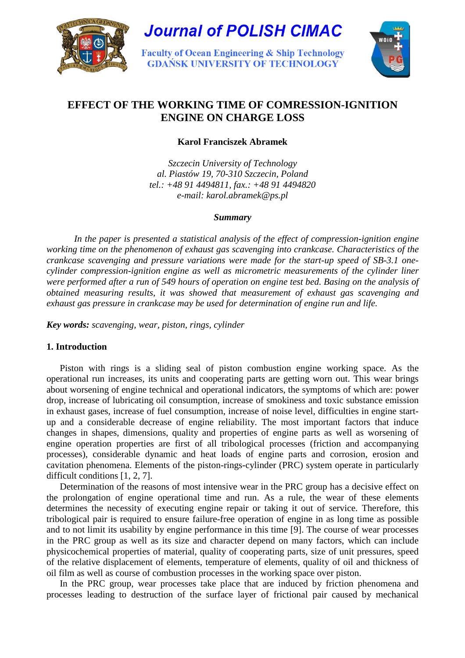

**Journal of POLISH CIMAC** 

**Faculty of Ocean Engineering & Ship Technology GDAŃSK UNIVERSITY OF TECHNOLOGY** 



# **EFFECT OF THE WORKING TIME OF COMRESSION-IGNITION ENGINE ON CHARGE LOSS**

**Karol Franciszek Abramek** 

*Szczecin University of Technology al. Piastów 19, 70-310 Szczecin, Poland tel.: +48 91 4494811, fax.: +48 91 4494820 e-mail: karol.abramek@ps.pl* 

## *Summary*

 *In the paper is presented a statistical analysis of the effect of compression-ignition engine working time on the phenomenon of exhaust gas scavenging into crankcase. Characteristics of the crankcase scavenging and pressure variations were made for the start-up speed of SB-3.1 onecylinder compression-ignition engine as well as micrometric measurements of the cylinder liner were performed after a run of 549 hours of operation on engine test bed. Basing on the analysis of obtained measuring results, it was showed that measurement of exhaust gas scavenging and exhaust gas pressure in crankcase may be used for determination of engine run and life.* 

*Key words: scavenging, wear, piston, rings, cylinder* 

# **1. Introduction**

Piston with rings is a sliding seal of piston combustion engine working space. As the operational run increases, its units and cooperating parts are getting worn out. This wear brings about worsening of engine technical and operational indicators, the symptoms of which are: power drop, increase of lubricating oil consumption, increase of smokiness and toxic substance emission in exhaust gases, increase of fuel consumption, increase of noise level, difficulties in engine startup and a considerable decrease of engine reliability. The most important factors that induce changes in shapes, dimensions, quality and properties of engine parts as well as worsening of engine operation properties are first of all tribological processes (friction and accompanying processes), considerable dynamic and heat loads of engine parts and corrosion, erosion and cavitation phenomena. Elements of the piston-rings-cylinder (PRC) system operate in particularly difficult conditions [1, 2, 7].

Determination of the reasons of most intensive wear in the PRC group has a decisive effect on the prolongation of engine operational time and run. As a rule, the wear of these elements determines the necessity of executing engine repair or taking it out of service. Therefore, this tribological pair is required to ensure failure-free operation of engine in as long time as possible and to not limit its usability by engine performance in this time [9]. The course of wear processes in the PRC group as well as its size and character depend on many factors, which can include physicochemical properties of material, quality of cooperating parts, size of unit pressures, speed of the relative displacement of elements, temperature of elements, quality of oil and thickness of oil film as well as course of combustion processes in the working space over piston.

In the PRC group, wear processes take place that are induced by friction phenomena and processes leading to destruction of the surface layer of frictional pair caused by mechanical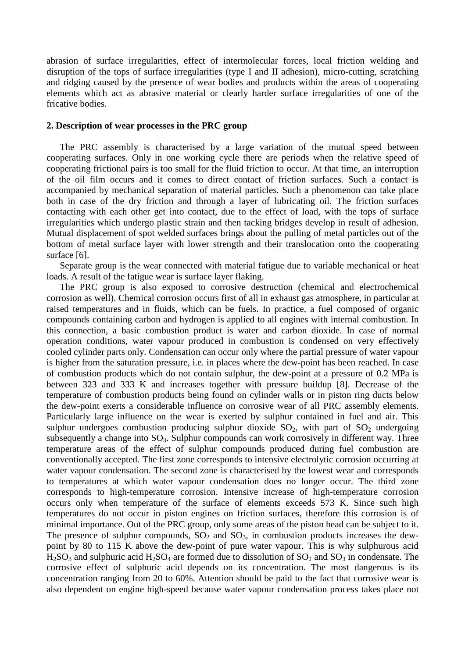abrasion of surface irregularities, effect of intermolecular forces, local friction welding and disruption of the tops of surface irregularities (type I and II adhesion), micro-cutting, scratching and ridging caused by the presence of wear bodies and products within the areas of cooperating elements which act as abrasive material or clearly harder surface irregularities of one of the fricative bodies.

# **2. Description of wear processes in the PRC group**

The PRC assembly is characterised by a large variation of the mutual speed between cooperating surfaces. Only in one working cycle there are periods when the relative speed of cooperating frictional pairs is too small for the fluid friction to occur. At that time, an interruption of the oil film occurs and it comes to direct contact of friction surfaces. Such a contact is accompanied by mechanical separation of material particles. Such a phenomenon can take place both in case of the dry friction and through a layer of lubricating oil. The friction surfaces contacting with each other get into contact, due to the effect of load, with the tops of surface irregularities which undergo plastic strain and then tacking bridges develop in result of adhesion. Mutual displacement of spot welded surfaces brings about the pulling of metal particles out of the bottom of metal surface layer with lower strength and their translocation onto the cooperating surface [6].

Separate group is the wear connected with material fatigue due to variable mechanical or heat loads. A result of the fatigue wear is surface layer flaking.

The PRC group is also exposed to corrosive destruction (chemical and electrochemical corrosion as well). Chemical corrosion occurs first of all in exhaust gas atmosphere, in particular at raised temperatures and in fluids, which can be fuels. In practice, a fuel composed of organic compounds containing carbon and hydrogen is applied to all engines with internal combustion. In this connection, a basic combustion product is water and carbon dioxide. In case of normal operation conditions, water vapour produced in combustion is condensed on very effectively cooled cylinder parts only. Condensation can occur only where the partial pressure of water vapour is higher from the saturation pressure, i.e. in places where the dew-point has been reached. In case of combustion products which do not contain sulphur, the dew-point at a pressure of 0.2 MPa is between 323 and 333 K and increases together with pressure buildup [8]. Decrease of the temperature of combustion products being found on cylinder walls or in piston ring ducts below the dew-point exerts a considerable influence on corrosive wear of all PRC assembly elements. Particularly large influence on the wear is exerted by sulphur contained in fuel and air. This sulphur undergoes combustion producing sulphur dioxide  $SO_2$ , with part of  $SO_2$  undergoing subsequently a change into  $SO_3$ . Sulphur compounds can work corrosively in different way. Three temperature areas of the effect of sulphur compounds produced during fuel combustion are conventionally accepted. The first zone corresponds to intensive electrolytic corrosion occurring at water vapour condensation. The second zone is characterised by the lowest wear and corresponds to temperatures at which water vapour condensation does no longer occur. The third zone corresponds to high-temperature corrosion. Intensive increase of high-temperature corrosion occurs only when temperature of the surface of elements exceeds 573 K. Since such high temperatures do not occur in piston engines on friction surfaces, therefore this corrosion is of minimal importance. Out of the PRC group, only some areas of the piston head can be subject to it. The presence of sulphur compounds,  $SO_2$  and  $SO_3$ , in combustion products increases the dewpoint by 80 to 115 K above the dew-point of pure water vapour. This is why sulphurous acid  $H<sub>2</sub>SO<sub>3</sub>$  and sulphuric acid  $H<sub>2</sub>SO<sub>4</sub>$  are formed due to dissolution of  $SO<sub>2</sub>$  and  $SO<sub>3</sub>$  in condensate. The corrosive effect of sulphuric acid depends on its concentration. The most dangerous is its concentration ranging from 20 to 60%. Attention should be paid to the fact that corrosive wear is also dependent on engine high-speed because water vapour condensation process takes place not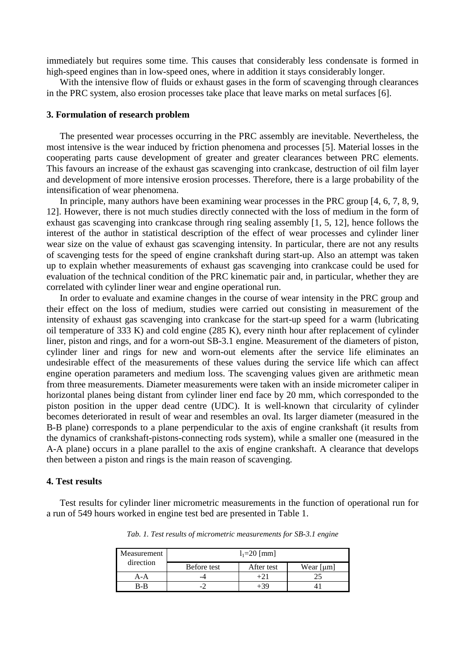immediately but requires some time. This causes that considerably less condensate is formed in high-speed engines than in low-speed ones, where in addition it stays considerably longer.

With the intensive flow of fluids or exhaust gases in the form of scavenging through clearances in the PRC system, also erosion processes take place that leave marks on metal surfaces [6].

#### **3. Formulation of research problem**

The presented wear processes occurring in the PRC assembly are inevitable. Nevertheless, the most intensive is the wear induced by friction phenomena and processes [5]. Material losses in the cooperating parts cause development of greater and greater clearances between PRC elements. This favours an increase of the exhaust gas scavenging into crankcase, destruction of oil film layer and development of more intensive erosion processes. Therefore, there is a large probability of the intensification of wear phenomena.

In principle, many authors have been examining wear processes in the PRC group [4, 6, 7, 8, 9, 12]. However, there is not much studies directly connected with the loss of medium in the form of exhaust gas scavenging into crankcase through ring sealing assembly [1, 5, 12], hence follows the interest of the author in statistical description of the effect of wear processes and cylinder liner wear size on the value of exhaust gas scavenging intensity. In particular, there are not any results of scavenging tests for the speed of engine crankshaft during start-up. Also an attempt was taken up to explain whether measurements of exhaust gas scavenging into crankcase could be used for evaluation of the technical condition of the PRC kinematic pair and, in particular, whether they are correlated with cylinder liner wear and engine operational run.

In order to evaluate and examine changes in the course of wear intensity in the PRC group and their effect on the loss of medium, studies were carried out consisting in measurement of the intensity of exhaust gas scavenging into crankcase for the start-up speed for a warm (lubricating oil temperature of 333 K) and cold engine (285 K), every ninth hour after replacement of cylinder liner, piston and rings, and for a worn-out SB-3.1 engine. Measurement of the diameters of piston, cylinder liner and rings for new and worn-out elements after the service life eliminates an undesirable effect of the measurements of these values during the service life which can affect engine operation parameters and medium loss. The scavenging values given are arithmetic mean from three measurements. Diameter measurements were taken with an inside micrometer caliper in horizontal planes being distant from cylinder liner end face by 20 mm, which corresponded to the piston position in the upper dead centre (UDC). It is well-known that circularity of cylinder becomes deteriorated in result of wear and resembles an oval. Its larger diameter (measured in the B-B plane) corresponds to a plane perpendicular to the axis of engine crankshaft (it results from the dynamics of crankshaft-pistons-connecting rods system), while a smaller one (measured in the A-A plane) occurs in a plane parallel to the axis of engine crankshaft. A clearance that develops then between a piston and rings is the main reason of scavenging.

#### **4. Test results**

Test results for cylinder liner micrometric measurements in the function of operational run for a run of 549 hours worked in engine test bed are presented in Table 1.

| Measurement<br>direction | $l_1 = 20$ [mm] |            |           |
|--------------------------|-----------------|------------|-----------|
|                          | Before test     | After test | Wear [µm] |
| $A-A$                    |                 |            |           |
| B-B                      |                 | ∟′⊰ч       |           |

*Tab. 1. Test results of micrometric measurements for SB-3.1 engine*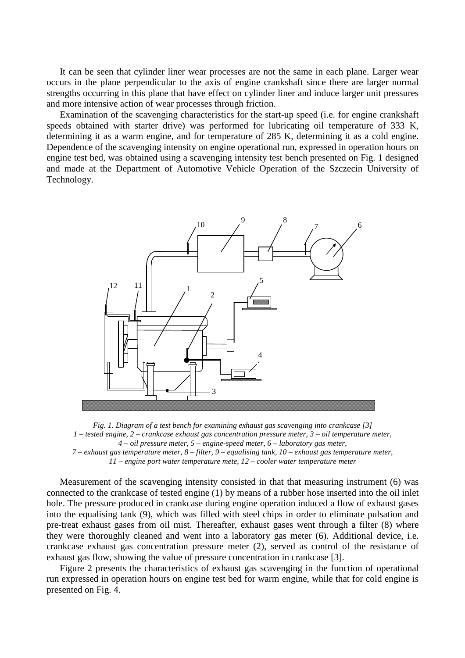It can be seen that cylinder liner wear processes are not the same in each plane. Larger wear occurs in the plane perpendicular to the axis of engine crankshaft since there are larger normal strengths occurring in this plane that have effect on cylinder liner and induce larger unit pressures and more intensive action of wear processes through friction.

Examination of the scavenging characteristics for the start-up speed (i.e. for engine crankshaft speeds obtained with starter drive) was performed for lubricating oil temperature of 333 K, determining it as a warm engine, and for temperature of 285 K, determining it as a cold engine. Dependence of the scavenging intensity on engine operational run, expressed in operation hours on engine test bed, was obtained using a scavenging intensity test bench presented on Fig. 1 designed and made at the Department of Automotive Vehicle Operation of the Szczecin University of Technology.



*Fig. 1. Diagram of a test bench for examining exhaust gas scavenging into crankcase [3] 1 – tested engine, 2 – crankcase exhaust gas concentration pressure meter, 3 – oil temperature meter, 4 – oil pressure meter, 5 – engine-speed meter, 6 – laboratory gas meter, 7 – exhaust gas temperature meter, 8 – filter, 9 – equalising tank, 10 – exhaust gas temperature meter, 11 – engine port water temperature mete, 12 – cooler water temperature meter*

Measurement of the scavenging intensity consisted in that that measuring instrument (6) was connected to the crankcase of tested engine (1) by means of a rubber hose inserted into the oil inlet hole. The pressure produced in crankcase during engine operation induced a flow of exhaust gases into the equalising tank (9), which was filled with steel chips in order to eliminate pulsation and pre-treat exhaust gases from oil mist. Thereafter, exhaust gases went through a filter (8) where they were thoroughly cleaned and went into a laboratory gas meter (6). Additional device, i.e. crankcase exhaust gas concentration pressure meter (2), served as control of the resistance of exhaust gas flow, showing the value of pressure concentration in crankcase [3].

Figure 2 presents the characteristics of exhaust gas scavenging in the function of operational run expressed in operation hours on engine test bed for warm engine, while that for cold engine is presented on Fig. 4.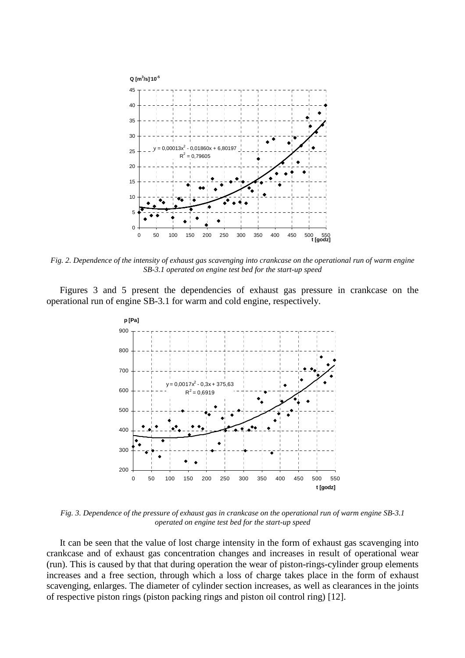

*Fig. 2. Dependence of the intensity of exhaust gas scavenging into crankcase on the operational run of warm engine SB-3.1 operated on engine test bed for the start-up speed* 

Figures 3 and 5 present the dependencies of exhaust gas pressure in crankcase on the operational run of engine SB-3.1 for warm and cold engine, respectively.



*Fig. 3. Dependence of the pressure of exhaust gas in crankcase on the operational run of warm engine SB-3.1 operated on engine test bed for the start-up speed* 

It can be seen that the value of lost charge intensity in the form of exhaust gas scavenging into crankcase and of exhaust gas concentration changes and increases in result of operational wear (run). This is caused by that that during operation the wear of piston-rings-cylinder group elements increases and a free section, through which a loss of charge takes place in the form of exhaust scavenging, enlarges. The diameter of cylinder section increases, as well as clearances in the joints of respective piston rings (piston packing rings and piston oil control ring) [12].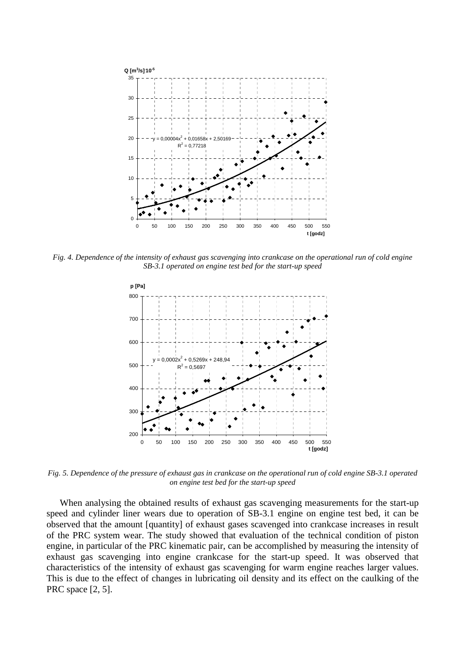

*Fig. 4. Dependence of the intensity of exhaust gas scavenging into crankcase on the operational run of cold engine SB-3.1 operated on engine test bed for the start-up speed* 



*Fig. 5. Dependence of the pressure of exhaust gas in crankcase on the operational run of cold engine SB-3.1 operated on engine test bed for the start-up speed* 

When analysing the obtained results of exhaust gas scavenging measurements for the start-up speed and cylinder liner wears due to operation of SB-3.1 engine on engine test bed, it can be observed that the amount [quantity] of exhaust gases scavenged into crankcase increases in result of the PRC system wear. The study showed that evaluation of the technical condition of piston engine, in particular of the PRC kinematic pair, can be accomplished by measuring the intensity of exhaust gas scavenging into engine crankcase for the start-up speed. It was observed that characteristics of the intensity of exhaust gas scavenging for warm engine reaches larger values. This is due to the effect of changes in lubricating oil density and its effect on the caulking of the PRC space [2, 5].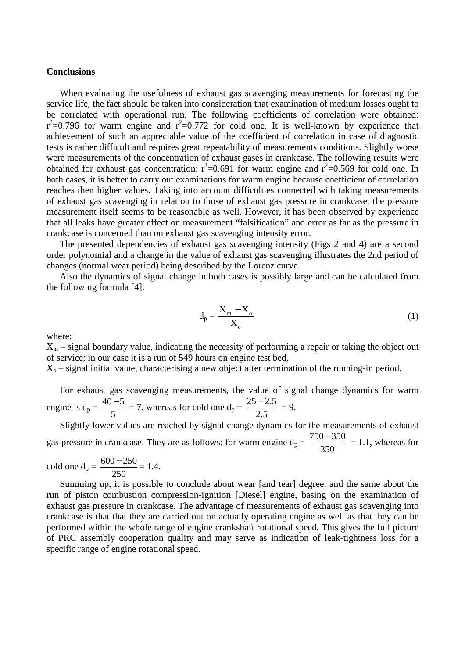#### **Conclusions**

When evaluating the usefulness of exhaust gas scavenging measurements for forecasting the service life, the fact should be taken into consideration that examination of medium losses ought to be correlated with operational run. The following coefficients of correlation were obtained:  $r^2$ =0.796 for warm engine and  $r^2$ =0.772 for cold one. It is well-known by experience that achievement of such an appreciable value of the coefficient of correlation in case of diagnostic tests is rather difficult and requires great repeatability of measurements conditions. Slightly worse were measurements of the concentration of exhaust gases in crankcase. The following results were obtained for exhaust gas concentration:  $r^2$ =0.691 for warm engine and  $r^2$ =0.569 for cold one. In both cases, it is better to carry out examinations for warm engine because coefficient of correlation reaches then higher values. Taking into account difficulties connected with taking measurements of exhaust gas scavenging in relation to those of exhaust gas pressure in crankcase, the pressure measurement itself seems to be reasonable as well. However, it has been observed by experience that all leaks have greater effect on measurement "falsification" and error as far as the pressure in crankcase is concerned than on exhaust gas scavenging intensity error.

The presented dependencies of exhaust gas scavenging intensity (Figs 2 and 4) are a second order polynomial and a change in the value of exhaust gas scavenging illustrates the 2nd period of changes (normal wear period) being described by the Lorenz curve.

Also the dynamics of signal change in both cases is possibly large and can be calculated from the following formula [4]:

$$
d_p = \frac{X_m - X_o}{X_o} \tag{1}
$$

where:

 $X_m$  – signal boundary value, indicating the necessity of performing a repair or taking the object out of service; in our case it is a run of 549 hours on engine test bed,

 $X<sub>o</sub>$  – signal initial value, characterising a new object after termination of the running-in period.

For exhaust gas scavenging measurements, the value of signal change dynamics for warm engine is  $d_p =$ 5  $\frac{40-5}{5}$  = 7, whereas for cold one d<sub>p</sub> = 2.5  $\frac{25-2.5}{2.5} = 9.$ 

Slightly lower values are reached by signal change dynamics for the measurements of exhaust gas pressure in crankcase. They are as follows: for warm engine  $d_p =$ 350  $\frac{750 - 350}{250}$  = 1.1, whereas for

cold one d<sub>p</sub> = 
$$
\frac{600 - 250}{250}
$$
 = 1.4.

Summing up, it is possible to conclude about wear [and tear] degree, and the same about the run of piston combustion compression-ignition [Diesel] engine, basing on the examination of exhaust gas pressure in crankcase. The advantage of measurements of exhaust gas scavenging into crankcase is that that they are carried out on actually operating engine as well as that they can be performed within the whole range of engine crankshaft rotational speed. This gives the full picture of PRC assembly cooperation quality and may serve as indication of leak-tightness loss for a specific range of engine rotational speed.